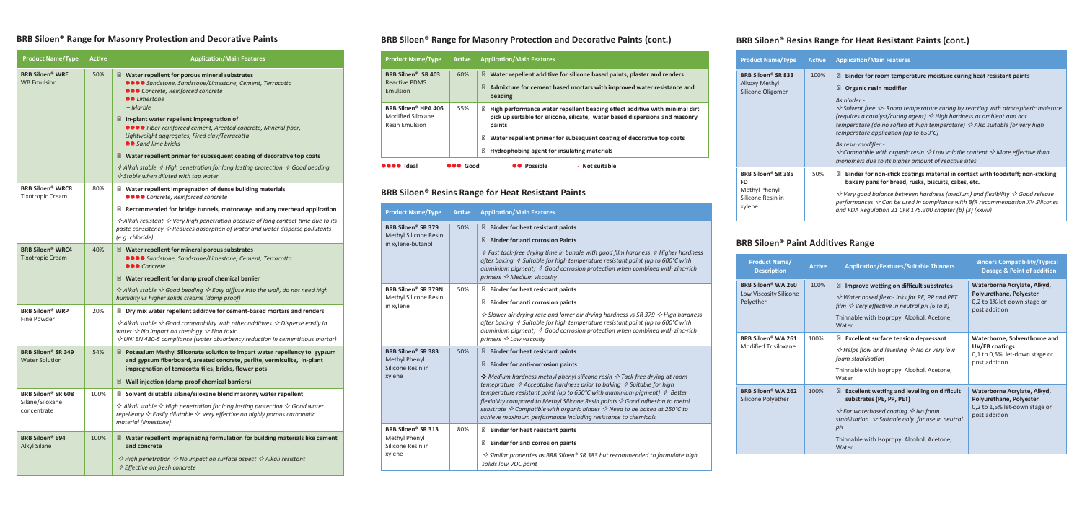#### **BRB Siloen® Range for Masonry Protection and Decorative Paints**

| <b>Product Name/Type</b>                                      | <b>Active</b>                                                           | <b>Application/Main Features</b>                                                                                                                                                                                               |  |
|---------------------------------------------------------------|-------------------------------------------------------------------------|--------------------------------------------------------------------------------------------------------------------------------------------------------------------------------------------------------------------------------|--|
| <b>BRB Siloen<sup>®</sup> WRE</b><br><b>WB Emulsion</b>       | 50%                                                                     | Water repellent for porous mineral substrates<br>●●●● Sandstone, Sandstone/Limestone, Cement, Terracotta<br>●●● Concrete, Reinforced concrete<br>●● Limestone<br>$-Marble$                                                     |  |
|                                                               |                                                                         | In-plant water repellent impregnation of<br>●●●● Fiber-reinforced cement, Areated concrete, Mineral fiber,<br>Lightweight aggregates, Fired clay/Terracotta<br>●● Sand lime bricks                                             |  |
|                                                               |                                                                         | Water repellent primer for subsequent coating of decorative top coats                                                                                                                                                          |  |
|                                                               |                                                                         | $\Diamond$ Alkali stable $\Diamond$ High penetration for long lasting protection $\Diamond$ Good beading<br>$\Diamond$ Stable when diluted with tap water                                                                      |  |
| <b>BRB Siloen<sup>®</sup> WRC8</b><br><b>Tixotropic Cream</b> | 80%                                                                     | Water repellent impregnation of dense building materials<br>●●●● Concrete, Reinforced concrete                                                                                                                                 |  |
|                                                               |                                                                         | Recommended for bridge tunnels, motorways and any overhead application                                                                                                                                                         |  |
|                                                               |                                                                         | $\Diamond$ Alkali resistant $\Diamond$ Very high penetration because of long contact time due to its<br>paste consistency $\Diamond$ Reduces absorption of water and water disperse pollutants<br>(e.g. chloride)              |  |
| <b>BRB Siloen<sup>®</sup> WRC4</b><br><b>Tixotropic Cream</b> | 40%                                                                     | Water repellent for mineral porous substrates<br>●●●● Sandstone, Sandstone/Limestone, Cement, Terracotta<br>●●● Concrete                                                                                                       |  |
|                                                               |                                                                         | Water repellent for damp proof chemical barrier                                                                                                                                                                                |  |
|                                                               |                                                                         | $\Diamond$ Alkali stable $\Diamond$ Good beading $\Diamond$ Easy diffuse into the wall, do not need high<br>humidity vs higher solids creams (damp proof)                                                                      |  |
| <b>BRB Siloen<sup>®</sup> WRP</b><br>20%                      |                                                                         | Dry mix water repellent additive for cement-based mortars and renders                                                                                                                                                          |  |
| Fine Powder                                                   |                                                                         | $\Diamond$ Alkali stable $\Diamond$ Good compatibility with other additives $\Diamond$ Disperse easily in                                                                                                                      |  |
|                                                               |                                                                         | water $\diamond$ No impact on rheology $\diamond$ Non toxic<br>$\Diamond$ UNI EN 480-5 compliance (water absorbency reduction in cementitious mortar)                                                                          |  |
| <b>BRB Siloen<sup>®</sup> SR 349</b><br><b>Water Solution</b> | 54%                                                                     | Potassium Methyl Siliconate solution to impart water repellency to gypsum<br>and gypsum fiberboard, areated concrete, perlite, vermiculite, in-plant<br>impregnation of terracotta tiles, bricks, flower pots                  |  |
|                                                               |                                                                         | Wall injection (damp proof chemical barriers)                                                                                                                                                                                  |  |
| <b>BRB Siloen<sup>®</sup> SR 608</b>                          | 100%<br>Solvent dilutable silane/siloxane blend masonry water repellent |                                                                                                                                                                                                                                |  |
| Silane/Siloxane<br>concentrate                                |                                                                         | $\Diamond$ Alkali stable $\Diamond$ High penetration for long lasting protection $\Diamond$ Good water<br>repellency $\diamond$ Easily dilutable $\diamond$ Very effective on highly porous carbonatic<br>material (limestone) |  |
| <b>BRB Siloen<sup>®</sup> 694</b><br><b>Alkyl Silane</b>      | 100%                                                                    | Water repellent impregnating formulation for building materials like cement<br>and concrete                                                                                                                                    |  |
|                                                               |                                                                         | $\Diamond$ High penetration $\Diamond$ No impact on surface aspect $\Diamond$ Alkali resistant<br>$\diamond$ Effective on fresh concrete                                                                                       |  |

#### **BRB Siloen® Range for Masonry Protection and Decorative Paints (cont.)**

| <b>Product Name/Type</b>                                                      | <b>Active</b>   | <b>Application/Main Features</b>                                                                                                                                                                                                                                                             |  |
|-------------------------------------------------------------------------------|-----------------|----------------------------------------------------------------------------------------------------------------------------------------------------------------------------------------------------------------------------------------------------------------------------------------------|--|
| BRB Siloen <sup>®</sup> SR 403<br>Reactive PDMS<br>Emulsion                   | 60%             | Water repellent additive for silicone based paints, plaster and renders<br>Admixture for cement based mortars with improved water resistance and<br>beading                                                                                                                                  |  |
| BRB Siloen <sup>®</sup> HPA 406<br>Modified Siloxane<br><b>Resin Emulsion</b> | 55%             | High performance water repellent beading effect additive with minimal dirt<br>pick up suitable for silicone, silicate, water based dispersions and masonry<br>paints<br>Water repellent primer for subsequent coating of decorative top coats<br>Hydrophobing agent for insulating materials |  |
| <b>OOOO</b> Ideal                                                             | <b>OOO</b> Good | <b>OO</b> Possible<br>- Not suitable                                                                                                                                                                                                                                                         |  |
|                                                                               |                 | RRR Siloan® Racins Ranga for Haat Racistant Daints                                                                                                                                                                                                                                           |  |

#### **BRB Siloen® Resins Range for Heat Resistant Paints**

 *Fast tack-free drying time in bundle with good film hardness Higher hardness after baking Suitable for high temperature resistant paint (up to 600°C with aluminium pigment) Good corrosion protection when combined with zinc-rich primers Medium viscosity*

#### **istant paints**

#### **Bion paints**

 *Slower air drying rate and lower air drying hardness vs SR 379 High hardness after baking Suitable for high temperature resistant paint (up to 600°C with aluminium pigment) Good corrosion protection when combined with zinc-rich*

#### **stant paints**

#### **Bion paints**

| <b>Product Name/Type</b>                                                                  | <b>Active</b> | <b>Application/Main Features</b>                                                                                                                                                                                                                                               |  |
|-------------------------------------------------------------------------------------------|---------------|--------------------------------------------------------------------------------------------------------------------------------------------------------------------------------------------------------------------------------------------------------------------------------|--|
| <b>BRB Siloen<sup>®</sup> SR 379</b><br><b>Methyl Silicone Resin</b><br>in xylene-butanol | 50%           | <b>Binder for heat resistan</b><br><b>Binder for anti corrosio</b><br>$\diamond$ Fast tack-free drying tim<br>after baking $\Diamond$ Suitable for<br>aluminium pigment) $\Diamond$ God<br>primers $\Diamond$ Medium viscosit                                                  |  |
| <b>BRB Siloen® SR 379N</b><br>Methyl Silicone Resin<br>in xylene                          | 50%           | <b>Binder for heat resistan</b><br><b>Binder for anti corrosio</b><br>$\Diamond$ Slower air drying rate an<br>after baking $\Diamond$ Suitable for<br>aluminium pigment) $\Diamond$ Goc<br>primers $\Diamond$ Low viscosity                                                    |  |
| <b>BRB Siloen® SR 383</b><br><b>Methyl Phenyl</b><br>Silicone Resin in<br>xylene          | 50%           | <b>Binder for heat resistan</b><br><b>Binder for anti-corrosio</b><br>$\Diamond$ Medium hardness methy<br>temeprature $\Diamond$ Acceptable<br>temperature resistant paint<br>flexibility compared to Metl<br>substrate $\Diamond$ Compatible with<br>achieve maximum performo |  |
| <b>BRB Siloen<sup>®</sup> SR 313</b><br>Methyl Phenyl<br>Silicone Resin in<br>xylene      | 80%           | <b>Binder for heat resistan</b><br><b>Binder for anti corrosio</b><br>$\diamond$ Similar properties as BRI<br>solids low VOC paint                                                                                                                                             |  |

#### **stant paints**

#### **Bion Paints**

 *Medium hardness methyl phenyl silicone resin Tack free drying at room he hardness prior to baking*  $\lessdot$  *Suitable for high temperature temptors <i>comptor of twith aluminium pigment)*  $\leftrightarrow$  Better *flexibility compared to Methyl Silicone Resin paints Good adhesion to metal substrate Compatible with organic binder Need to be baked at 250°C to achieve maximum performance including resistance to chemicals*

#### **stant paints**

#### **Bion paints**

*Similar properties as BRB Siloen® SR 383 but recommended to formulate high*

#### **BRB Siloen® Resins Range for Heat Resistant Paints (cont.)**

| <b>Product Name/Type</b>                                                                    | <b>Active</b> | <b>Application/Main Features</b>                                                                                                                                                                                                                                                                                                                                                                                                                                                                                                                                                                                                               |  |
|---------------------------------------------------------------------------------------------|---------------|------------------------------------------------------------------------------------------------------------------------------------------------------------------------------------------------------------------------------------------------------------------------------------------------------------------------------------------------------------------------------------------------------------------------------------------------------------------------------------------------------------------------------------------------------------------------------------------------------------------------------------------------|--|
| <b>BRB Siloen<sup>®</sup> SR 833</b><br><b>Alkoxy Methyl</b><br>Silicone Oligomer           | 100%          | Binder for room temperature moisture curing heat resistant paints<br><b>Organic resin modifier</b><br>As binder:-<br>$\Diamond$ Solvent free $\Diamond$ - Room temperature curing by reacting with atmospheric moisture<br>(requires a catalyst/curing agent) $\Diamond$ High hardness at ambient and hot<br>temperature (do no soften at high temperature) $\Diamond$ Also suitable for very high<br>temperature application (up to $650^{\circ}$ C)<br>As resin modifier:-<br>$\Diamond$ Compatible with organic resin $\Diamond$ Low volatile content $\Diamond$ More effective than<br>monomers due to its higher amount of reactive sites |  |
| BRB Siloen <sup>®</sup> SR 385<br><b>FD</b><br>Methyl Phenyl<br>Silicone Resin in<br>xylene | 50%           | Binder for non-stick coatings material in contact with foodstuff; non-sticking<br>bakery pans for bread, rusks, biscuits, cakes, etc.<br>$\Diamond$ Very good balance between hardness (medium) and flexibility $\Diamond$ Good release<br>performances $\diamondsuit$ Can be used in compliance with BfR recommendation XV Silicones<br>and FDA Regulation 21 CFR 175.300 chapter (b) (3) (xxviii)                                                                                                                                                                                                                                            |  |

#### **BRB Siloen® Paint Additives Range**

| <b>Product Name/</b><br><b>Description</b>                            | <b>Active</b> | <b>Application/Features/Suitable Thinners</b>                                                                                                                                                                                                                     | <b>Binders Compatibility/Typical</b><br><b>Dosage &amp; Point of addition</b>                                   |
|-----------------------------------------------------------------------|---------------|-------------------------------------------------------------------------------------------------------------------------------------------------------------------------------------------------------------------------------------------------------------------|-----------------------------------------------------------------------------------------------------------------|
| BRB Siloen <sup>®</sup> WA 260<br>Low Viscosity Silicone<br>Polyether | 100%          | Improve wetting on difficult substrates<br>$\Diamond$ Water based flexo- inks for PE, PP and PET<br>film $\Diamond$ Very effective in neutral pH (6 to 8)<br>Thinnable with Isopropyl Alcohol, Acetone,<br>Water                                                  | Waterborne Acrylate, Alkyd,<br><b>Polyurethane, Polyester</b><br>0,2 to 1% let-down stage or<br>post addition   |
| <b>BRB Siloen<sup>®</sup> WA 261</b><br><b>Modified Trisiloxane</b>   | 100%          | <b>Excellent surface tension depressant</b><br>$\Diamond$ Helps flow and levelling $\Diamond$ No or very low<br>foam stabilisation<br>Thinnable with Isopropyl Alcohol, Acetone,<br>Water                                                                         | Waterborne, Solventborne and<br>UV/EB coatings<br>0,1 to 0,5% let-down stage or<br>post addition                |
| BRB Siloen <sup>®</sup> WA 262<br>Silicone Polyether                  | 100%          | <b>Excellent wetting and levelling on difficult</b><br>substrates (PE, PP, PET)<br>$\Diamond$ For waterbased coating $\Diamond$ No foam<br>stabilisation $\Diamond$ Suitable only for use in neutral<br>рH<br>Thinnable with Isopropyl Alcohol, Acetone,<br>Water | Waterborne Acrylate, Alkyd,<br><b>Polyurethane, Polyester</b><br>0,2 to 1,5% let-down stage or<br>post addition |